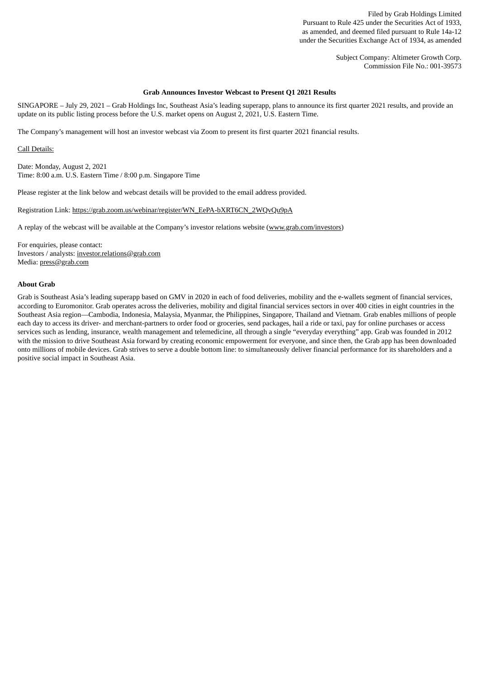Filed by Grab Holdings Limited Pursuant to Rule 425 under the Securities Act of 1933, as amended, and deemed filed pursuant to Rule 14a-12 under the Securities Exchange Act of 1934, as amended

> Subject Company: Altimeter Growth Corp. Commission File No.: 001-39573

#### **Grab Announces Investor Webcast to Present Q1 2021 Results**

SINGAPORE – July 29, 2021 – Grab Holdings Inc, Southeast Asia's leading superapp, plans to announce its first quarter 2021 results, and provide an update on its public listing process before the U.S. market opens on August 2, 2021, U.S. Eastern Time.

The Company's management will host an investor webcast via Zoom to present its first quarter 2021 financial results.

Call Details:

Date: Monday, August 2, 2021 Time: 8:00 a.m. U.S. Eastern Time / 8:00 p.m. Singapore Time

Please register at the link below and webcast details will be provided to the email address provided.

Registration Link: https://grab.zoom.us/webinar/register/WN\_EePA-bXRT6CN\_2WQvQu9pA

A replay of the webcast will be available at the Company's investor relations website (www.grab.com/investors)

For enquiries, please contact: Investors / analysts: investor.relations@grab.com Media: press@grab.com

#### **About Grab**

Grab is Southeast Asia's leading superapp based on GMV in 2020 in each of food deliveries, mobility and the e-wallets segment of financial services, according to Euromonitor. Grab operates across the deliveries, mobility and digital financial services sectors in over 400 cities in eight countries in the Southeast Asia region—Cambodia, Indonesia, Malaysia, Myanmar, the Philippines, Singapore, Thailand and Vietnam. Grab enables millions of people each day to access its driver- and merchant-partners to order food or groceries, send packages, hail a ride or taxi, pay for online purchases or access services such as lending, insurance, wealth management and telemedicine, all through a single "everyday everything" app. Grab was founded in 2012 with the mission to drive Southeast Asia forward by creating economic empowerment for everyone, and since then, the Grab app has been downloaded onto millions of mobile devices. Grab strives to serve a double bottom line: to simultaneously deliver financial performance for its shareholders and a positive social impact in Southeast Asia.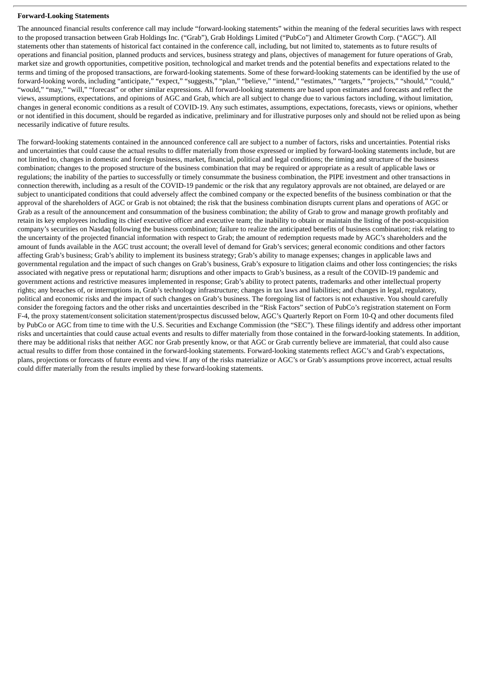#### **Forward-Looking Statements**

The announced financial results conference call may include "forward-looking statements" within the meaning of the federal securities laws with respect to the proposed transaction between Grab Holdings Inc. ("Grab"), Grab Holdings Limited ("PubCo") and Altimeter Growth Corp. ("AGC"). All statements other than statements of historical fact contained in the conference call, including, but not limited to, statements as to future results of operations and financial position, planned products and services, business strategy and plans, objectives of management for future operations of Grab, market size and growth opportunities, competitive position, technological and market trends and the potential benefits and expectations related to the terms and timing of the proposed transactions, are forward-looking statements. Some of these forward-looking statements can be identified by the use of forward-looking words, including "anticipate," "expect," "suggests," "plan," "believe," "intend," "estimates," "targets," "projects," "should," "could," "would," "may," "will," "forecast" or other similar expressions. All forward-looking statements are based upon estimates and forecasts and reflect the views, assumptions, expectations, and opinions of AGC and Grab, which are all subject to change due to various factors including, without limitation, changes in general economic conditions as a result of COVID-19. Any such estimates, assumptions, expectations, forecasts, views or opinions, whether or not identified in this document, should be regarded as indicative, preliminary and for illustrative purposes only and should not be relied upon as being necessarily indicative of future results.

The forward-looking statements contained in the announced conference call are subject to a number of factors, risks and uncertainties. Potential risks and uncertainties that could cause the actual results to differ materially from those expressed or implied by forward-looking statements include, but are not limited to, changes in domestic and foreign business, market, financial, political and legal conditions; the timing and structure of the business combination; changes to the proposed structure of the business combination that may be required or appropriate as a result of applicable laws or regulations; the inability of the parties to successfully or timely consummate the business combination, the PIPE investment and other transactions in connection therewith, including as a result of the COVID-19 pandemic or the risk that any regulatory approvals are not obtained, are delayed or are subject to unanticipated conditions that could adversely affect the combined company or the expected benefits of the business combination or that the approval of the shareholders of AGC or Grab is not obtained; the risk that the business combination disrupts current plans and operations of AGC or Grab as a result of the announcement and consummation of the business combination; the ability of Grab to grow and manage growth profitably and retain its key employees including its chief executive officer and executive team; the inability to obtain or maintain the listing of the post-acquisition company's securities on Nasdaq following the business combination; failure to realize the anticipated benefits of business combination; risk relating to the uncertainty of the projected financial information with respect to Grab; the amount of redemption requests made by AGC's shareholders and the amount of funds available in the AGC trust account; the overall level of demand for Grab's services; general economic conditions and other factors affecting Grab's business; Grab's ability to implement its business strategy; Grab's ability to manage expenses; changes in applicable laws and governmental regulation and the impact of such changes on Grab's business, Grab's exposure to litigation claims and other loss contingencies; the risks associated with negative press or reputational harm; disruptions and other impacts to Grab's business, as a result of the COVID-19 pandemic and government actions and restrictive measures implemented in response; Grab's ability to protect patents, trademarks and other intellectual property rights; any breaches of, or interruptions in, Grab's technology infrastructure; changes in tax laws and liabilities; and changes in legal, regulatory, political and economic risks and the impact of such changes on Grab's business. The foregoing list of factors is not exhaustive. You should carefully consider the foregoing factors and the other risks and uncertainties described in the "Risk Factors" section of PubCo's registration statement on Form F-4, the proxy statement/consent solicitation statement/prospectus discussed below, AGC's Quarterly Report on Form 10-Q and other documents filed by PubCo or AGC from time to time with the U.S. Securities and Exchange Commission (the "SEC"). These filings identify and address other important risks and uncertainties that could cause actual events and results to differ materially from those contained in the forward-looking statements. In addition, there may be additional risks that neither AGC nor Grab presently know, or that AGC or Grab currently believe are immaterial, that could also cause actual results to differ from those contained in the forward-looking statements. Forward-looking statements reflect AGC's and Grab's expectations, plans, projections or forecasts of future events and view. If any of the risks materialize or AGC's or Grab's assumptions prove incorrect, actual results could differ materially from the results implied by these forward-looking statements.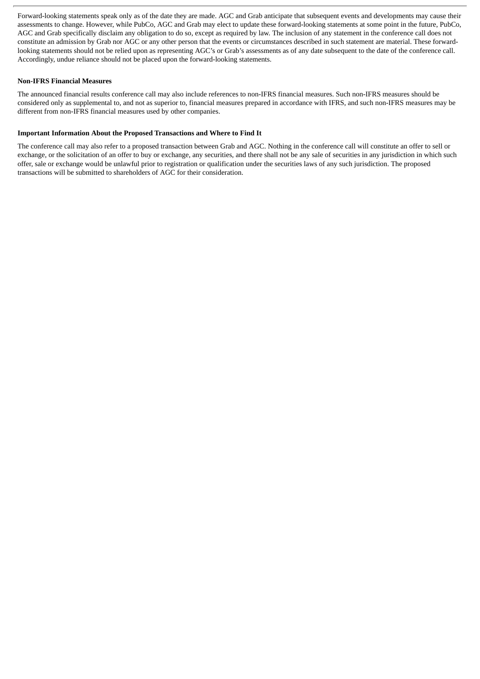Forward-looking statements speak only as of the date they are made. AGC and Grab anticipate that subsequent events and developments may cause their assessments to change. However, while PubCo, AGC and Grab may elect to update these forward-looking statements at some point in the future, PubCo, AGC and Grab specifically disclaim any obligation to do so, except as required by law. The inclusion of any statement in the conference call does not constitute an admission by Grab nor AGC or any other person that the events or circumstances described in such statement are material. These forwardlooking statements should not be relied upon as representing AGC's or Grab's assessments as of any date subsequent to the date of the conference call. Accordingly, undue reliance should not be placed upon the forward-looking statements.

## **Non-IFRS Financial Measures**

The announced financial results conference call may also include references to non-IFRS financial measures. Such non-IFRS measures should be considered only as supplemental to, and not as superior to, financial measures prepared in accordance with IFRS, and such non-IFRS measures may be different from non-IFRS financial measures used by other companies.

## **Important Information About the Proposed Transactions and Where to Find It**

The conference call may also refer to a proposed transaction between Grab and AGC. Nothing in the conference call will constitute an offer to sell or exchange, or the solicitation of an offer to buy or exchange, any securities, and there shall not be any sale of securities in any jurisdiction in which such offer, sale or exchange would be unlawful prior to registration or qualification under the securities laws of any such jurisdiction. The proposed transactions will be submitted to shareholders of AGC for their consideration.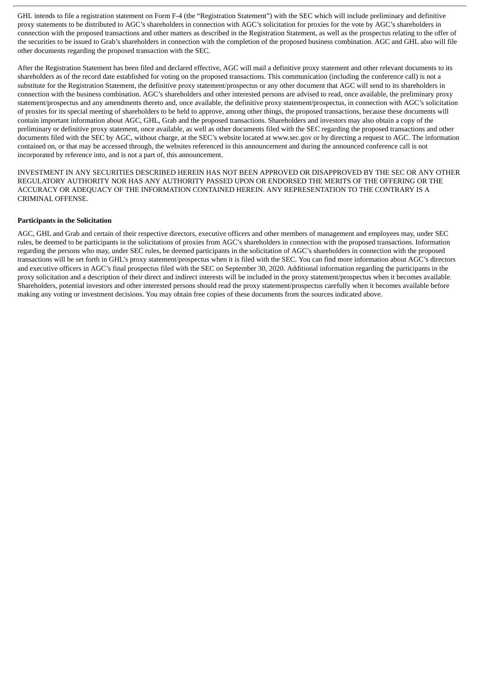GHL intends to file a registration statement on Form F-4 (the "Registration Statement") with the SEC which will include preliminary and definitive proxy statements to be distributed to AGC's shareholders in connection with AGC's solicitation for proxies for the vote by AGC's shareholders in connection with the proposed transactions and other matters as described in the Registration Statement, as well as the prospectus relating to the offer of the securities to be issued to Grab's shareholders in connection with the completion of the proposed business combination. AGC and GHL also will file other documents regarding the proposed transaction with the SEC.

After the Registration Statement has been filed and declared effective, AGC will mail a definitive proxy statement and other relevant documents to its shareholders as of the record date established for voting on the proposed transactions. This communication (including the conference call) is not a substitute for the Registration Statement, the definitive proxy statement/prospectus or any other document that AGC will send to its shareholders in connection with the business combination. AGC's shareholders and other interested persons are advised to read, once available, the preliminary proxy statement/prospectus and any amendments thereto and, once available, the definitive proxy statement/prospectus, in connection with AGC's solicitation of proxies for its special meeting of shareholders to be held to approve, among other things, the proposed transactions, because these documents will contain important information about AGC, GHL, Grab and the proposed transactions. Shareholders and investors may also obtain a copy of the preliminary or definitive proxy statement, once available, as well as other documents filed with the SEC regarding the proposed transactions and other documents filed with the SEC by AGC, without charge, at the SEC's website located at www.sec.gov or by directing a request to AGC. The information contained on, or that may be accessed through, the websites referenced in this announcement and during the announced conference call is not incorporated by reference into, and is not a part of, this announcement.

INVESTMENT IN ANY SECURITIES DESCRIBED HEREIN HAS NOT BEEN APPROVED OR DISAPPROVED BY THE SEC OR ANY OTHER REGULATORY AUTHORITY NOR HAS ANY AUTHORITY PASSED UPON OR ENDORSED THE MERITS OF THE OFFERING OR THE ACCURACY OR ADEQUACY OF THE INFORMATION CONTAINED HEREIN. ANY REPRESENTATION TO THE CONTRARY IS A CRIMINAL OFFENSE.

## **Participants in the Solicitation**

AGC, GHL and Grab and certain of their respective directors, executive officers and other members of management and employees may, under SEC rules, be deemed to be participants in the solicitations of proxies from AGC's shareholders in connection with the proposed transactions. Information regarding the persons who may, under SEC rules, be deemed participants in the solicitation of AGC's shareholders in connection with the proposed transactions will be set forth in GHL's proxy statement/prospectus when it is filed with the SEC. You can find more information about AGC's directors and executive officers in AGC's final prospectus filed with the SEC on September 30, 2020. Additional information regarding the participants in the proxy solicitation and a description of their direct and indirect interests will be included in the proxy statement/prospectus when it becomes available. Shareholders, potential investors and other interested persons should read the proxy statement/prospectus carefully when it becomes available before making any voting or investment decisions. You may obtain free copies of these documents from the sources indicated above.